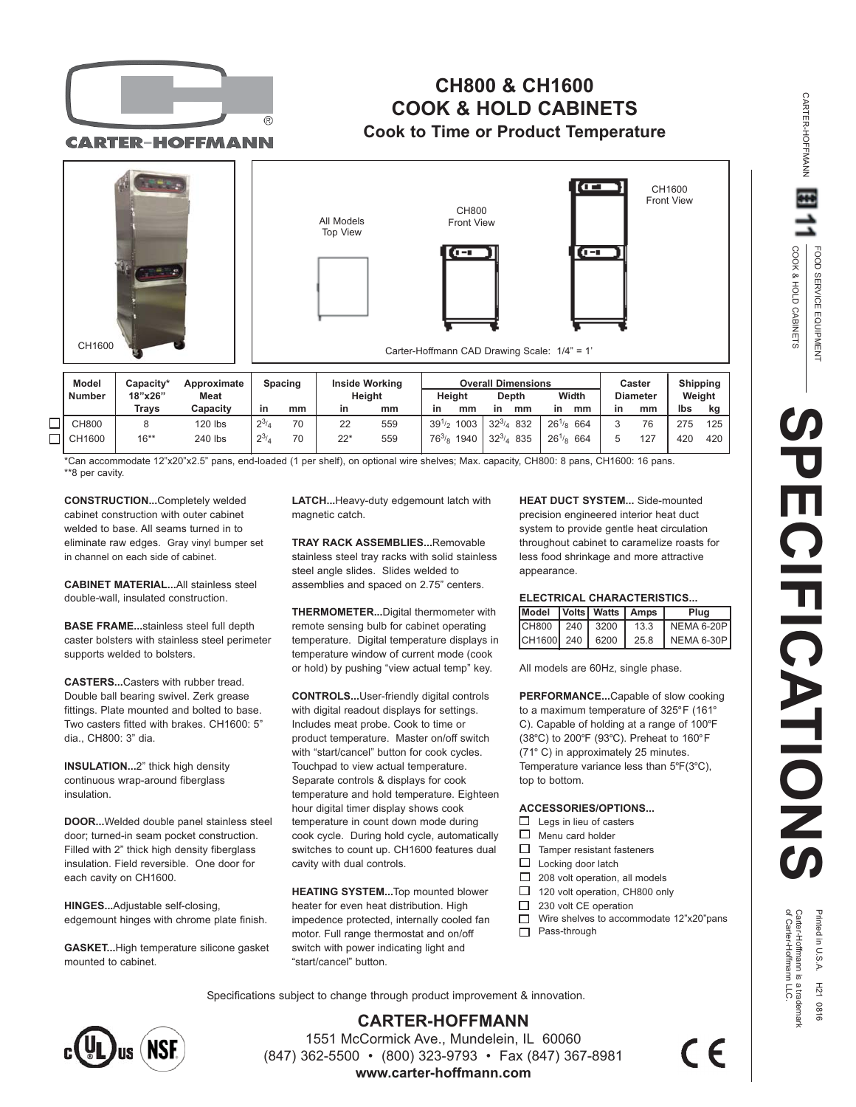

## **CH800 & CH1600 COOK & HOLD CABINETS Cook to Time or Product Temperature**

**CARTER-HOFFMANN** 



| mouch         | <b>Uapacity</b> | <b>ADDIVAILIALE</b><br><b>Meat</b> | opacniy   |    | m<br>Height |     | <b>UVGIGH DIHIGHSIULS</b> |      |                   |            | <b>UGSLUI</b> |                 | ompping |        |     |
|---------------|-----------------|------------------------------------|-----------|----|-------------|-----|---------------------------|------|-------------------|------------|---------------|-----------------|---------|--------|-----|
| <b>Number</b> | 18"x26"         |                                    |           |    |             |     | Heiaht                    |      | <b>Depth</b>      | Width      |               | <b>Diameter</b> |         | Weight |     |
|               | Travs           | Capacity                           | in        | mm | in          | mm  | in                        | mm   | mm<br>in          | in         | mm            | in              | mm      | Ibs    | kg  |
| <b>CH800</b>  |                 | 120 lbs                            | $2^{3/4}$ | 70 | 22          | 559 | $39^{1/2}$                | 1003 | $32^{3/4}$<br>832 | $26^{1/8}$ | 664           |                 | 76      | 275    | 125 |
| CH1600        | $16***$         | 240 lbs                            | $2^{3/4}$ | 70 | 22*         | 559 | $76^{3/8}$                | 1940 | $32^{3/4}$<br>835 | $26^{1/8}$ | 664           |                 | 127     | 420    | 420 |

\*Can accommodate 12"x20"x2.5" pans, end-loaded (1 per shelf), on optional wire shelves; Max. capacity, CH800: 8 pans, CH1600: 16 pans. \*\*8 per cavity.

**CONSTRUCTION...**Completely welded cabinet construction with outer cabinet welded to base. All seams turned in to eliminate raw edges. Gray vinyl bumper set in channel on each side of cabinet.

**CABINET MATERIAL...**All stainless steel double-wall, insulated construction.

**BASE FRAME...**stainless steel full depth caster bolsters with stainless steel perimeter supports welded to bolsters.

**CASTERS...**Casters with rubber tread. Double ball bearing swivel. Zerk grease fittings. Plate mounted and bolted to base. Two casters fitted with brakes. CH1600: 5" dia., CH800: 3" dia.

**INSULATION...**2" thick high density continuous wrap-around fiberglass insulation.

**DOOR...**Welded double panel stainless steel door; turned-in seam pocket construction. Filled with 2" thick high density fiberglass insulation. Field reversible. One door for each cavity on CH1600.

**HINGES...**Adjustable self-closing, edgemount hinges with chrome plate finish.

**GASKET...**High temperature silicone gasket mounted to cabinet.

**LATCH...**Heavy-duty edgemount latch with magnetic catch.

**TRAY RACK ASSEMBLIES...**Removable stainless steel tray racks with solid stainless steel angle slides. Slides welded to assemblies and spaced on 2.75" centers.

**THERMOMETER...**Digital thermometer with remote sensing bulb for cabinet operating temperature. Digital temperature displays in temperature window of current mode (cook or hold) by pushing "view actual temp" key.

**CONTROLS...**User-friendly digital controls with digital readout displays for settings. Includes meat probe. Cook to time or product temperature. Master on/off switch with "start/cancel" button for cook cycles. Touchpad to view actual temperature. Separate controls & displays for cook temperature and hold temperature. Eighteen hour digital timer display shows cook temperature in count down mode during cook cycle. During hold cycle, automatically switches to count up. CH1600 features dual cavity with dual controls.

**HEATING SYSTEM...**Top mounted blower heater for even heat distribution. High impedence protected, internally cooled fan motor. Full range thermostat and on/off switch with power indicating light and "start/cancel" button.

**HEAT DUCT SYSTEM...** Side-mounted precision engineered interior heat duct system to provide gentle heat circulation throughout cabinet to caramelize roasts for less food shrinkage and more attractive appearance.

## **ELECTRICAL CHARACTERISTICS...**

| Model Volts Watts   Amps |  |      | Plua       |  |  |  |
|--------------------------|--|------|------------|--|--|--|
| CH800 240 3200           |  | 13.3 | NEMA 6-20P |  |  |  |
| CH1600 240 6200          |  | 25.8 | NEMA 6-30P |  |  |  |

All models are 60Hz, single phase.

**PERFORMANCE...**Capable of slow cooking to a maximum temperature of 325°F (161° C). Capable of holding at a range of 100°F (38°C) to 200°F (93°C). Preheat to 160°F (71° C) in approximately 25 minutes. Temperature variance less than 5°F(3°C), top to bottom.

## **ACCESSORIES/OPTIONS...**

- $\Box$  Legs in lieu of casters
- $\Box$ Menu card holder
- $\Box$ Tamper resistant fasteners
- $\Box$ Locking door latch
- $\Box$ 208 volt operation, all models
- $\Box$ 120 volt operation, CH800 only
- $\Box$ 230 volt CE operation
- $\Box$ Wire shelves to accommodate 12"x20"pans □ Pass-through

Specifications subject to change through product improvement & innovation.



**CARTER-HOFFMANN** 1551 McCormick Ave., Mundelein, IL 60060 (847) 362-5500 • (800) 323-9793 • Fax (847) 367-8981 **www.carter-hoffmann.com**

CARTER-HOFFMANN

CARTER-HOFFMANN

of Carter-Hoffmann LLC. Carter-Hoffmann is a trademark Printed in U.S.A. H21 0816